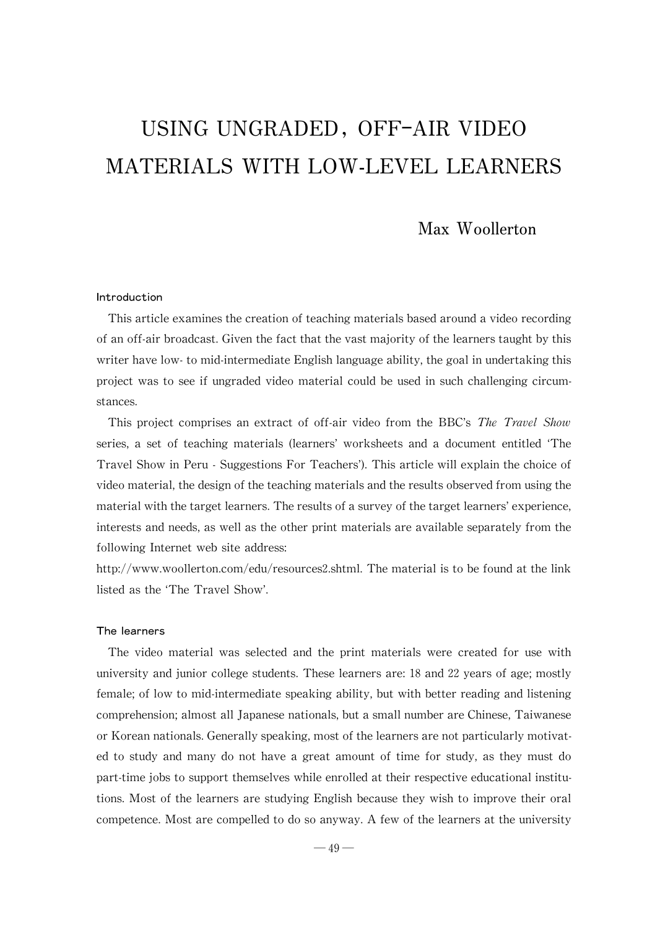# USING UNGRADED, OFF-AIR VIDEO MATERIALS WITH LOW-LEVEL LEARNERS

# Max Woollerton

# Introduction

This article examines the creation of teaching materials based around a video recording of an off-air broadcast. Given the fact that the vast majority of the learners taught by this writer have low-to mid-intermediate English language ability, the goal in undertaking this project was to see if ungraded video material could be used in such challenging circumstances.

This project comprises an extract of off-air video from the BBC's The Travel Show series, a set of teaching materials (learners'worksheets and a document entitled ʻThe Travel Show in Peru - Suggestions For Teachers'). This article will explain the choice of video material, the design of the teaching materials and the results observed from using the material with the target learners. The results of a survey of the target learners' experience, interests and needs, as well as the other print materials are available separately from the following Internet web site address:

http://www.woollerton.com/edu/resources2.shtml. The material is to be found at the link listed as the ʻThe Travel Show'.

# The learners

The video material was selected and the print materials were created for use with university and junior college students. These learners are: 18 and 22 years of age; mostly female; of low to mid-intermediate speaking ability, but with better reading and listening comprehension; almost all Japanese nationals, but a small number are Chinese, Taiwanese or Korean nationals. Generally speaking, most of the learners are not particularly motivated to study and many do not have a great amount of time for study, as they must do part-time jobs to support themselves while enrolled at their respective educational institutions.Most of the learners are studying English because theywish to improve their oral competence. Most are compelled to do so anyway. A few of the learners at the university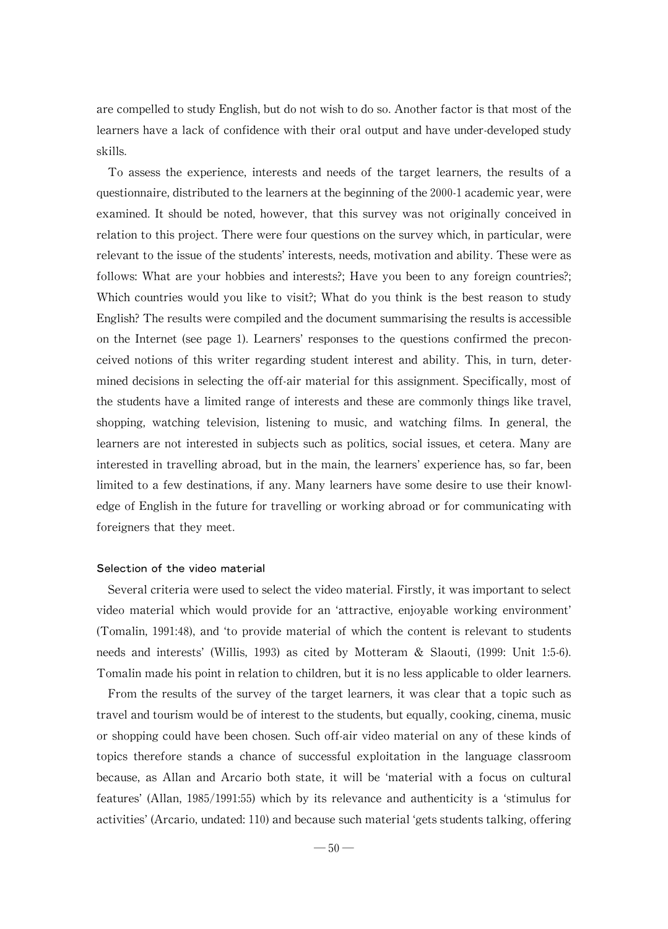are compelled to study English, but do not wish to do so. Another factor is that most of the learners have a lack of confidence with their oral output and have under-developed study skills.

To assess the experience, interests and needs of the target learners, the results of a questionnaire, distributed to the learners at the beginning of the 2000-1 academic year, were examined. It should be noted, however, that this survey was not originally conceived in relation to this project. There were four questions on the survey which, in particular, were relevant to the issue of the students' interests, needs, motivation and ability. These were as follows: What are your hobbies and interests?; Have you been to any foreign countries?; Which countries would you like to visit?; What do you think is the best reason to study English? The results were compiled and the document summarising the results is accessible on the Internet (see page 1). Learners'responses to the questions confirmed the preconceived notions of this writer regarding student interest and ability. This, in turn, determined decisions in selecting the off-air material for this assignment. Specifically, most of the students have a limited range of interests and these are commonlythings like travel, shopping, watching television, listening to music, and watching films. In general, the learners are not interested in subjects such as politics, social issues, et cetera. Many are interested in travelling abroad, but in the main, the learners' experience has, so far, been limited to a few destinations, if any. Many learners have some desire to use their knowledge of English in the future for travelling or working abroad or for communicating with foreigners that they meet.

#### Selection of the video material

Several criteria were used to select the video material. Firstly, it was important to select video material which would provide for an ʻattractive, enjoyable working environment' (Tomalin, 1991:48), and ʻto provide material of which the content is relevant to students needs and interests'(Willis, 1993) as cited by Motteram & Slaouti, (1999: Unit 1:5-6). Tomalin made his point in relation to children, but it is no less applicable to older learners.

From the results of the survey of the target learners, it was clear that a topic such as travel and tourism would be of interest to the students, but equally, cooking, cinema, music or shopping could have been chosen.Such off-air video material on anyofthese kinds of topics therefore stands a chance of successful exploitation in the language classroom because, as Allan and Arcario both state, it will be ʻmaterial with a focus on cultural features' (Allan, 1985/1991:55) which by its relevance and authenticity is a 'stimulus for activities' (Arcario, undated: 110) and because such material 'gets students talking, offering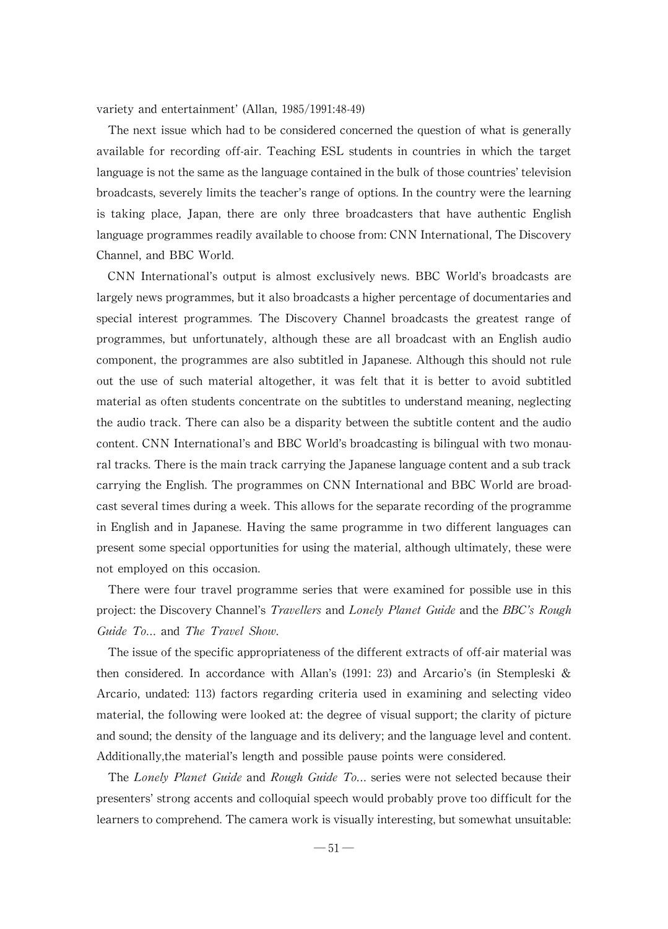variety and entertainment'(Allan,1985/1991:48-49)

The next issue which had to be considered concerned the question of what is generally available for recording off-air. Teaching ESL students in countries in which the target language is not the same as the language contained in the bulk of those countries' television broadcasts, severely limits the teacher's range of options. In the country were the learning is taking place, Japan, there are only three broadcasters that have authentic English language programmes readily available to choose from: CNN International, The Discovery Channel, and BBC World.

CNN International's output is almost exclusively news. BBC World's broadcasts are largely news programmes, but it also broadcasts a higher percentage of documentaries and special interest programmes. The Discovery Channel broadcasts the greatest range of programmes, but unfortunately, although these are all broadcast with an English audio component, the programmes are also subtitled in Japanese.Although this should not rule out the use of such material altogether, it was felt that it is better to avoid subtitled material as often students concentrate on the subtitles to understand meaning, neglecting the audio track. There can also be a disparity between the subtitle content and the audio content. CNN International's and BBC World's broadcasting is bilingual with two monaural tracks. There is the main track carrying the Japanese language content and a sub track carrying the English.The programmes on CNN International and BBC World are broadcast several times during a week. This allows for the separate recording of the programme in English and in Japanese. Having the same programme in two different languages can present some special opportunities for using the material, although ultimately, these were not employed on this occasion.

There were four travel programme series that were examined for possible use in this project: the Discovery Channel's *Travellers* and *Lonely Planet Guide* and the *BBC's Rough* Guide To... and The Travel Show.

The issue of the specific appropriateness of the different extracts of off-air material was then considered. In accordance with Allan's (1991: 23) and Arcario's (in Stempleski & Arcario, undated:113) factors regarding criteria used in examining and selecting video material, the following were looked at: the degree of visual support; the clarity of picture and sound; the density of the language and its delivery; and the language level and content. Additionally,the material's length and possible pause points were considered.

The Lonely Planet Guide and Rough Guide To... series were not selected because their presenters'strong accents and colloquialspeech would probablyprovetoo difficult forthe learners to comprehend. The camera work is visually interesting, but somewhat unsuitable: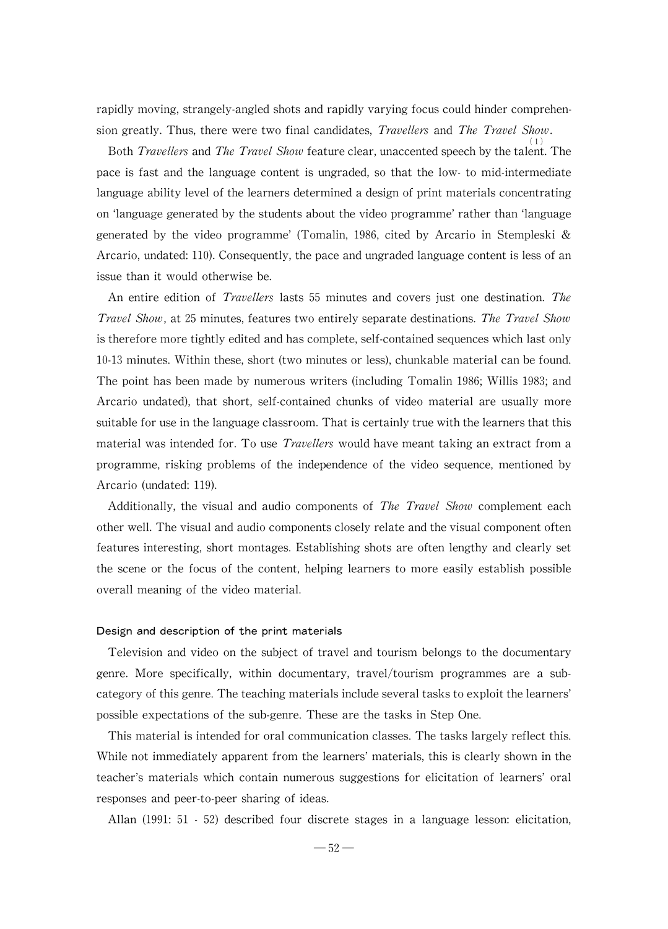rapidly moving, strangely-angled shots and rapidly varying focus could hinder comprehension greatly. Thus, there were two final candidates, *Travellers* and *The Travel Show*.

Both *Travellers* and *The Travel Show* feature clear, unaccented speech by the talent. The pace is fast and the language content is ungraded, so that the low-to mid-intermediate language ability level of the learners determined a design of print materials concentrating on ʻlanguage generated bythe students about thevideo programme'rather than ʻlanguage generated by the video programme'(Tomalin, 1986, cited by Arcario in Stempleski & Arcario, undated: 110). Consequently, the pace and ungraded language content is less of an issue than it would otherwise be.

An entire edition of *Travellers* lasts 55 minutes and covers just one destination. The Travel Show, at 25 minutes, features two entirely separate destinations. The Travel Show is therefore more tightly edited and has complete, self-contained sequences which last only 10-13 minutes. Within these, short (two minutes or less), chunkable material can be found. The point has been made by numerous writers (including Tomalin 1986; Willis 1983; and Arcario undated), that short, self-contained chunks of video material are usually more suitable for use in the language classroom. That is certainly true with the learners that this material was intended for. To use *Travellers* would have meant taking an extract from a programme, risking problems of the independence of the video sequence, mentioned by Arcario (undated: 119).

Additionally, the visual and audio components of *The Travel Show* complement each other well. The visual and audio components closely relate and the visual component often features interesting, short montages. Establishing shots are often lengthy and clearly set the scene or the focus of the content, helping learners to more easily establish possible overall meaning of the video material.

#### Design and description of the print materials

Television and video on the subject of travel and tourism belongs to the documentary genre. More specifically, within documentary, travel/tourism programmes are a subcategory of this genre. The teaching materials include several tasks to exploit the learners' possible expectations of the sub-genre. These are the tasks in Step One.

This material is intended for oral communication classes. The tasks largely reflect this. While not immediately apparent from the learners' materials, this is clearly shown in the teacher's materials which contain numerous suggestions for elicitation of learners'oral responses and peer-to-peer sharing of ideas.

Allan (1991: 51 -52) described four discrete stages in a language lesson: elicitation,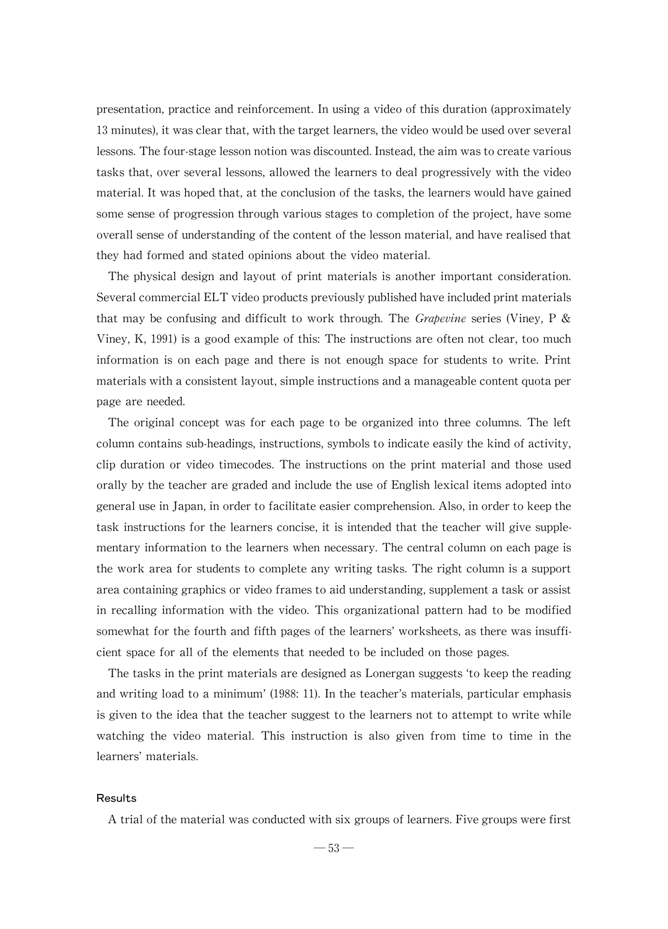presentation, practice and reinforcement. In using a video of this duration (approximately 13 minutes), it was clear that, with the target learners, the video would be used over several lessons. The four-stage lesson notion was discounted. Instead, the aim was to create various tasks that, over several lessons, allowed the learners to deal progressively with the video material. It was hoped that, at the conclusion of the tasks, the learners would have gained some sense of progression through various stages to completion of the project, have some overall sense of understanding of the content of the lesson material, and have realised that they had formed and stated opinions about the video material.

The physical design and layout of print materials is another important consideration. Several commercial ELT video products previously published have included print materials that may be confusing and difficult to work through. The Grapevine series (Viney, P & Viney,  $K$ , 1991) is a good example of this: The instructions are often not clear, too much information is on each page and there is not enough space for students to write. Print materials with a consistent layout, simple instructions and a manageable content quota per page are needed.

The original concept was for each page to be organized into three columns. The left column contains sub-headings, instructions, symbols to indicate easily the kind of activity, clip duration or video timecodes. The instructions on the print material and those used orallybythe teacher are graded and include the use ofEnglish lexical items adopted into general use in Japan, in order to facilitate easier comprehension. Also, in order to keep the task instructions for the learners concise, it is intended that the teacher will give supplementary information to the learners when necessary. The central column on each page is the work area for students to complete anywriting tasks. The right column is a support area containing graphics or video frames to aid understanding, supplement a task or assist in recalling information with the video. This organizational pattern had to be modified somewhat for the fourth and fifth pages of the learners' worksheets, as there was insufficient space for all of the elements that needed to be included on those pages.

The tasks in the print materials are designed as Lonergan suggests 'to keep the reading and writing load to a minimum' (1988: 11). In the teacher's materials, particular emphasis is given to the idea that the teacher suggest to the learners not to attempt to writewhile watching the video material. This instruction is also given from time to time in the learners'materials.

# Results

A trial of the material was conducted with six groups of learners. Five groups were first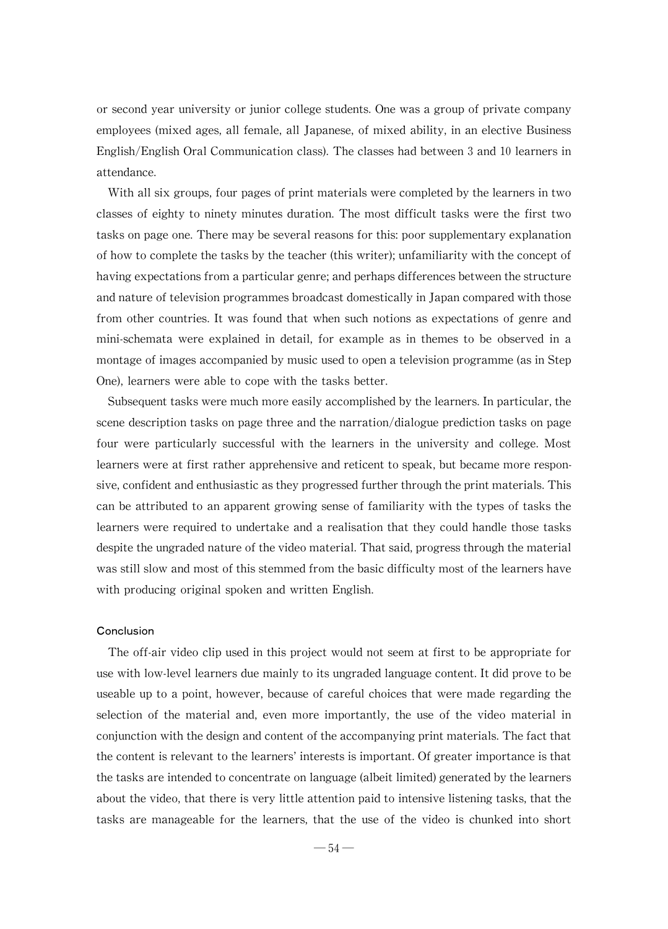or second year university or junior college students. One was a group of private company employees (mixed ages, all female, all Japanese, of mixed ability, in an elective Business English/English Oral Communication class).The classes had between 3 and 10 learners in attendance.

With all six groups, four pages of print materials were completed by the learners in two classes of eighty to ninety minutes duration. The most difficult tasks were the first two tasks on page one. There may be several reasons for this: poor supplementary explanation of how to complete the tasks by the teacher (this writer); unfamiliarity with the concept of having expectations from a particular genre; and perhaps differences between the structure and nature of television programmes broadcast domestically in Japan compared with those from other countries. It was found that when such notions as expectations of genre and mini-schemata were explained in detail, for example as in themes to be observed in a montage of images accompanied by musicused to open a television programme (as in Step One), learners were able to cope with the tasks better.

Subsequent tasks were much more easily accomplished by the learners. In particular, the scene description tasks on page three and the narration/dialogue prediction tasks on page four were particularly successful with the learners in the university and college. Most learners were at first rather apprehensive and reticent to speak, but became more responsive, confident and enthusiastic as they progressed further through the print materials. This can be attributed to an apparent growing sense of familiaritywith the types of tasks the learners were required to undertake and a realisation that they could handle those tasks despite the ungraded nature of the video material. That said, progress through the material was still slow and most of this stemmed from the basic difficulty most of the learners have with producing original spoken and written English.

# Conclusion

The off-air video clip used in this project would not seem at first to be appropriate for use with low-level learners due mainly to its ungraded language content. It did prove to be useable up to a point, however, because of careful choices that were made regarding the selection of the material and, even more importantly, the use of the video material in conjunction with the design and content of the accompanying print materials. The fact that the content is relevant to the learners' interests is important. Of greater importance is that the tasks are intended to concentrate on language (albeit limited) generated by the learners about the video, that there is very little attention paid to intensive listening tasks, that the tasks are manageable for the learners, that the use of the video is chunked into short